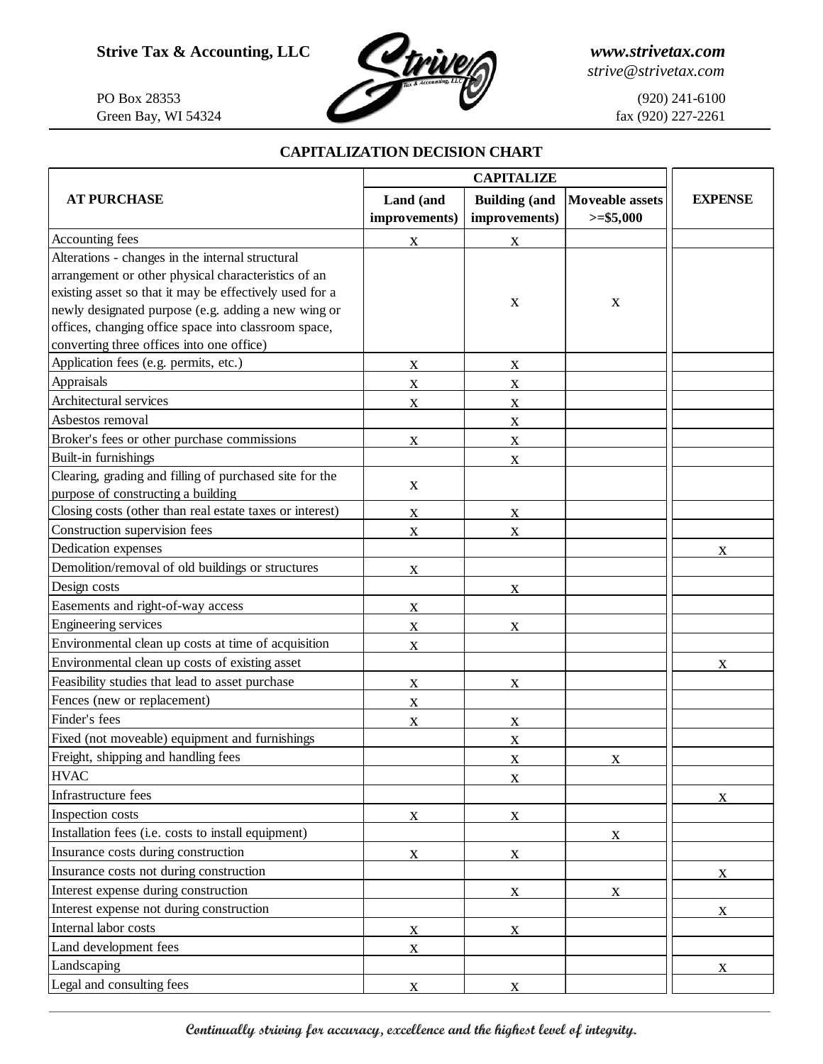

*strive@strivetax.com*

## **CAPITALIZATION DECISION CHART**

|                                                          | <b>CAPITALIZE</b> |                      |                        |                |
|----------------------------------------------------------|-------------------|----------------------|------------------------|----------------|
| <b>AT PURCHASE</b>                                       | Land (and         | <b>Building (and</b> | <b>Moveable assets</b> | <b>EXPENSE</b> |
|                                                          | improvements)     | improvements)        | $>= $5,000$            |                |
| Accounting fees                                          | $\mathbf X$       | $\mathbf X$          |                        |                |
| Alterations - changes in the internal structural         |                   |                      |                        |                |
| arrangement or other physical characteristics of an      |                   |                      |                        |                |
| existing asset so that it may be effectively used for a  |                   |                      |                        |                |
| newly designated purpose (e.g. adding a new wing or      |                   | X                    | $\mathbf X$            |                |
| offices, changing office space into classroom space,     |                   |                      |                        |                |
| converting three offices into one office)                |                   |                      |                        |                |
| Application fees (e.g. permits, etc.)                    | $\mathbf X$       | X                    |                        |                |
| Appraisals                                               | $\mathbf X$       | $\mathbf X$          |                        |                |
| Architectural services                                   | $\mathbf X$       | $\mathbf X$          |                        |                |
| Asbestos removal                                         |                   | $\mathbf X$          |                        |                |
| Broker's fees or other purchase commissions              | $\mathbf X$       | $\mathbf X$          |                        |                |
| Built-in furnishings                                     |                   | $\mathbf X$          |                        |                |
| Clearing, grading and filling of purchased site for the  | $\mathbf X$       |                      |                        |                |
| purpose of constructing a building                       |                   |                      |                        |                |
| Closing costs (other than real estate taxes or interest) | X                 | $\mathbf X$          |                        |                |
| Construction supervision fees                            | X                 | $\mathbf X$          |                        |                |
| Dedication expenses                                      |                   |                      |                        | X              |
| Demolition/removal of old buildings or structures        | $\mathbf X$       |                      |                        |                |
| Design costs                                             |                   | $\mathbf X$          |                        |                |
| Easements and right-of-way access                        | $\mathbf X$       |                      |                        |                |
| Engineering services                                     | $\mathbf X$       | $\mathbf X$          |                        |                |
| Environmental clean up costs at time of acquisition      | $\mathbf X$       |                      |                        |                |
| Environmental clean up costs of existing asset           |                   |                      |                        | X              |
| Feasibility studies that lead to asset purchase          | $\mathbf X$       | X                    |                        |                |
| Fences (new or replacement)                              | $\mathbf X$       |                      |                        |                |
| Finder's fees                                            | $\mathbf X$       | $\mathbf X$          |                        |                |
| Fixed (not moveable) equipment and furnishings           |                   | $\mathbf X$          |                        |                |
| Freight, shipping and handling fees                      |                   | X                    | $\mathbf X$            |                |
| <b>HVAC</b>                                              |                   | $\mathbf X$          |                        |                |
| Infrastructure fees                                      |                   |                      |                        | X              |
| Inspection costs                                         | $\mathbf X$       | $\mathbf X$          |                        |                |
| Installation fees (i.e. costs to install equipment)      |                   |                      | X                      |                |
| Insurance costs during construction                      | $\mathbf X$       | $\mathbf X$          |                        |                |
| Insurance costs not during construction                  |                   |                      |                        | X              |
| Interest expense during construction                     |                   | X                    | $\mathbf{X}$           |                |
| Interest expense not during construction                 |                   |                      |                        | $\mathbf X$    |
| Internal labor costs                                     | X                 | $\mathbf X$          |                        |                |
| Land development fees                                    | $\mathbf X$       |                      |                        |                |
| Landscaping                                              |                   |                      |                        | X              |
| Legal and consulting fees                                | $\mathbf{X}$      | X                    |                        |                |
|                                                          |                   |                      |                        |                |

**Continually striving for accuracy, excellence and the highest level of integrity.**